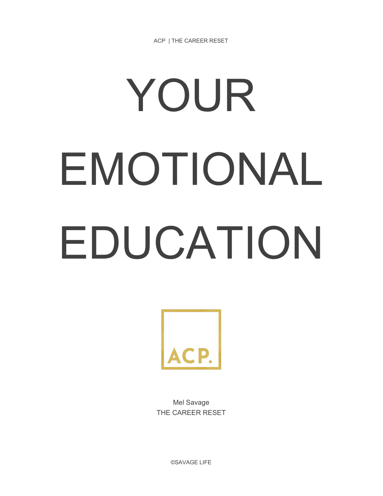ACP | THE CAREER RESET

# YOUR EMOTIONAL EDUCATION



Mel Savage THE CAREER RESET

©SAVAGE LIFE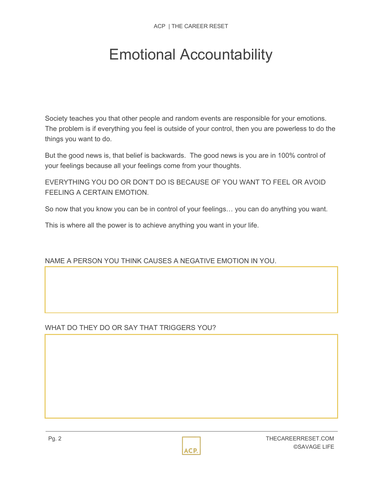# Emotional Accountability

Society teaches you that other people and random events are responsible for your emotions. The problem is if everything you feel is outside of your control, then you are powerless to do the things you want to do.

But the good news is, that belief is backwards. The good news is you are in 100% control of your feelings because all your feelings come from your thoughts.

EVERYTHING YOU DO OR DON'T DO IS BECAUSE OF YOU WANT TO FEEL OR AVOID FEELING A CERTAIN EMOTION.

So now that you know you can be in control of your feelings… you can do anything you want.

This is where all the power is to achieve anything you want in your life.

# NAME A PERSON YOU THINK CAUSES A NEGATIVE EMOTION IN YOU.

#### WHAT DO THEY DO OR SAY THAT TRIGGERS YOU?

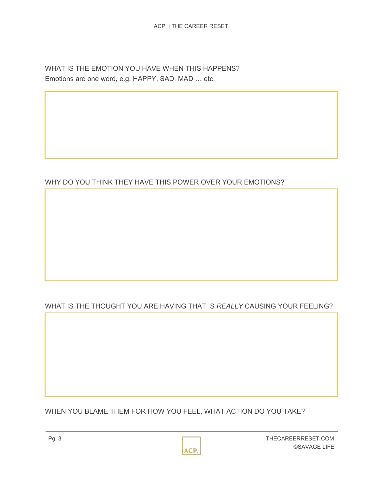WHAT IS THE EMOTION YOU HAVE WHEN THIS HAPPENS? Emotions are one word, e.g. HAPPY, SAD, MAD … etc.

# WHY DO YOU THINK THEY HAVE THIS POWER OVER YOUR EMOTIONS?

# WHAT IS THE THOUGHT YOU ARE HAVING THAT IS *REALLY* CAUSING YOUR FEELING?

WHEN YOU BLAME THEM FOR HOW YOU FEEL, WHAT ACTION DO YOU TAKE?